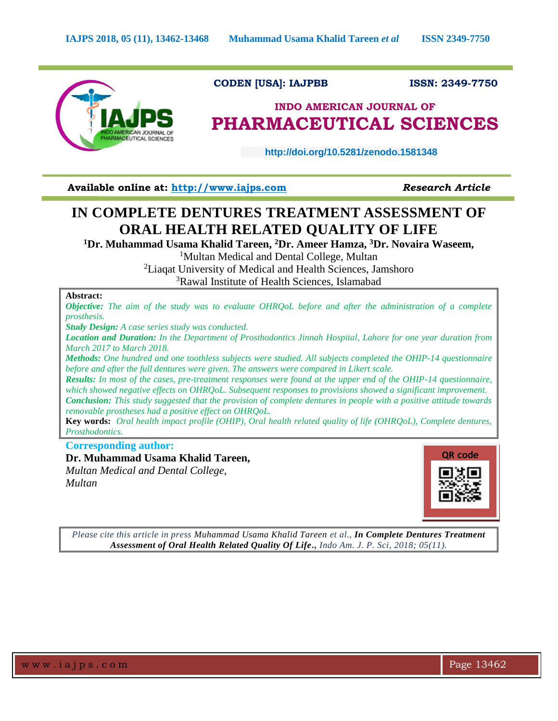

 **CODEN [USA]: IAJPBB ISSN: 2349-7750**

# **INDO AMERICAN JOURNAL OF PHARMACEUTICAL SCIENCES**

 **http://doi.org/10.5281/zenodo.1581348** 

**Available online at: [http://www.iajps.com](http://www.iajps.com/)** *Research Article*

# **IN COMPLETE DENTURES TREATMENT ASSESSMENT OF ORAL HEALTH RELATED QUALITY OF LIFE**

**<sup>1</sup>Dr. Muhammad Usama Khalid Tareen, <sup>2</sup>Dr. Ameer Hamza, <sup>3</sup>Dr. Novaira Waseem,** 

<sup>1</sup>Multan Medical and Dental College, Multan

<sup>2</sup>Liaqat University of Medical and Health Sciences, Jamshoro <sup>3</sup>Rawal Institute of Health Sciences, Islamabad

## **Abstract:**

*Objective: The aim of the study was to evaluate OHRQoL before and after the administration of a complete prosthesis.*

*Study Design: A case series study was conducted.*

*Location and Duration: In the Department of Prosthodontics Jinnah Hospital, Lahore for one year duration from March 2017 to March 2018.*

*Methods: One hundred and one toothless subjects were studied. All subjects completed the OHIP-14 questionnaire before and after the full dentures were given. The answers were compared in Likert scale.*

*Results: In most of the cases, pre-treatment responses were found at the upper end of the OHIP-14 questionnaire, which showed negative effects on OHRQoL. Subsequent responses to provisions showed a significant improvement. Conclusion: This study suggested that the provision of complete dentures in people with a positive attitude towards removable prostheses had a positive effect on OHRQoL.*

**Key words:** *Oral health impact profile (OHIP), Oral health related quality of life (OHRQoL), Complete dentures, Prosthodontics.*

**Corresponding author:** 

**Dr. Muhammad Usama Khalid Tareen,** 

*Multan Medical and Dental College, Multan*



*Please cite this article in press Muhammad Usama Khalid Tareen et al., In Complete Dentures Treatment Assessment of Oral Health Related Quality Of Life., Indo Am. J. P. Sci, 2018; 05(11).*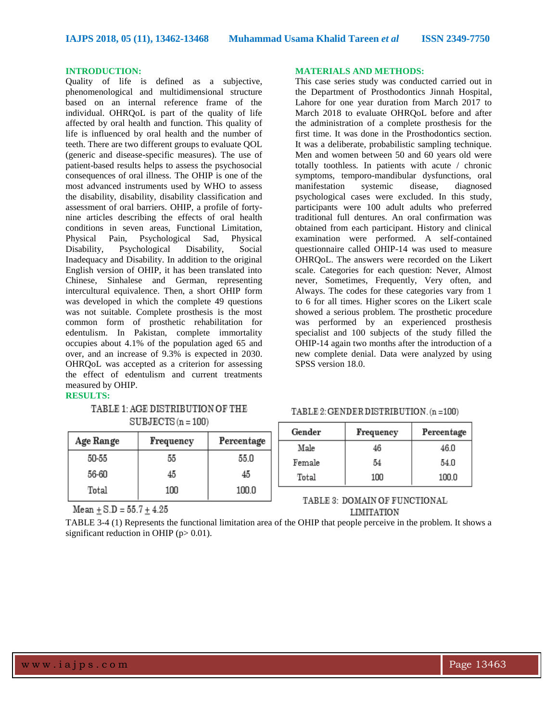### **INTRODUCTION:**

Quality of life is defined as a subjective, phenomenological and multidimensional structure based on an internal reference frame of the individual. OHRQoL is part of the quality of life affected by oral health and function. This quality of life is influenced by oral health and the number of teeth. There are two different groups to evaluate QOL (generic and disease-specific measures). The use of patient-based results helps to assess the psychosocial consequences of oral illness. The OHIP is one of the most advanced instruments used by WHO to assess the disability, disability, disability classification and assessment of oral barriers. OHIP, a profile of fortynine articles describing the effects of oral health conditions in seven areas, Functional Limitation, Physical Pain, Psychological Sad, Physical Disability, Psychological Disability, Social Inadequacy and Disability. In addition to the original English version of OHIP, it has been translated into Chinese, Sinhalese and German, representing intercultural equivalence. Then, a short OHIP form was developed in which the complete 49 questions was not suitable. Complete prosthesis is the most common form of prosthetic rehabilitation for edentulism. In Pakistan, complete immortality occupies about 4.1% of the population aged 65 and over, and an increase of 9.3% is expected in 2030. OHRQoL was accepted as a criterion for assessing the effect of edentulism and current treatments measured by OHIP. **RESULTS:**

## TABLE 1: AGE DISTRIBUTION OF THE

## $SUBJECTS(n = 100)$

| Age Range | Frequency | Percentage |
|-----------|-----------|------------|
| 50-55     | 55        | 55.0       |
| 56-60     | 45        | 45         |
| Total     | 100       | 100.0      |

Mean  $\pm$  S.D = 55.7  $\pm$  4.25

#### **MATERIALS AND METHODS:**

This case series study was conducted carried out in the Department of Prosthodontics Jinnah Hospital, Lahore for one year duration from March 2017 to March 2018 to evaluate OHRQoL before and after the administration of a complete prosthesis for the first time. It was done in the Prosthodontics section. It was a deliberate, probabilistic sampling technique. Men and women between 50 and 60 years old were totally toothless. In patients with acute / chronic symptoms, temporo-mandibular dysfunctions, oral manifestation systemic disease, diagnosed psychological cases were excluded. In this study, participants were 100 adult adults who preferred traditional full dentures. An oral confirmation was obtained from each participant. History and clinical examination were performed. A self-contained questionnaire called OHIP-14 was used to measure OHRQoL. The answers were recorded on the Likert scale. Categories for each question: Never, Almost never, Sometimes, Frequently, Very often, and Always. The codes for these categories vary from 1 to 6 for all times. Higher scores on the Likert scale showed a serious problem. The prosthetic procedure was performed by an experienced prosthesis specialist and 100 subjects of the study filled the OHIP-14 again two months after the introduction of a new complete denial. Data were analyzed by using SPSS version 18.0.

## TABLE 2: GENDER DISTRIBUTION. (n = 100)

| Gender | Frequency | Percentage |
|--------|-----------|------------|
| Male   | 46        | 46.0       |
| Female | 54        | 54.0       |
| Total  | 100       | 100.0      |

## TABLE 3: DOMAIN OF FUNCTIONAL **LIMITATION**

TABLE 3-4 (1) Represents the functional limitation area of the OHIP that people perceive in the problem. It shows a significant reduction in OHIP ( $p > 0.01$ ).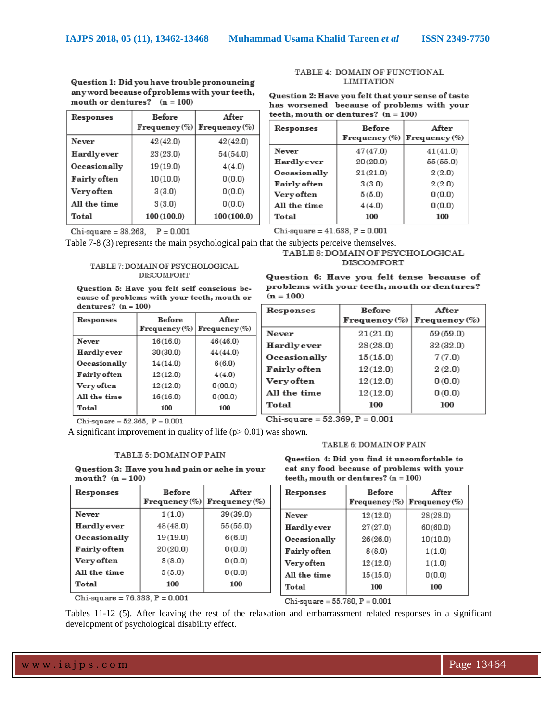| Responses           | <b>Before</b> | After<br>$Frequency (\%)$ Frequency $(\%)$ |
|---------------------|---------------|--------------------------------------------|
| Never               | 42(42.0)      | 42(42.0)                                   |
| Hardlyever          | 23(23.0)      | 54(54.0)                                   |
| Occasionally        | 19(19.0)      | 4(4.0)                                     |
| <b>Fairly</b> often | 10(10.0)      | 0(0.0)                                     |
| Very often          | 3(3.0)        | 0(0.0)                                     |
| All the time        | 3(3.0)        | 0(0.0)                                     |
| Total               | 100(100.0)    | 100(100.0)                                 |

Question 1: Did you have trouble pronouncing

any word because of problems with your teeth,

#### TABLE 4: DOMAIN OF FUNCTIONAL **LIMITATION**

|  |                                     | Question 2: Have you felt that your sense of taste |  |
|--|-------------------------------------|----------------------------------------------------|--|
|  |                                     | has worsened because of problems with your         |  |
|  | teeth, mouth or dentures? (n = 100) |                                                    |  |

| Responses           | <b>Before</b><br>$Frequency (\%)$ | After<br>$ $ Frequency $(\%)$ |
|---------------------|-----------------------------------|-------------------------------|
| Never               | 47(47.0)                          | 41(41.0)                      |
| Hardlyever          | 20(20.0)                          | 55(55.0)                      |
| <b>Occasionally</b> | 21(21.0)                          | 2(2.0)                        |
| Fairly often        | 3(3.0)                            | 2(2.0)                        |
| Very often          | 5(5.0)                            | 0(0.0)                        |
| All the time        | 4(4.0)                            | 0(0.0)                        |
| Total               | 100                               | 100                           |

Chi-square =  $38.263$ ,  $P = 0.001$ 

mouth or dentures?  $(n = 100)$ 

 $Chi$ -square = 41.638,  $P = 0.001$ 

## Table 7-8 (3) represents the main psychological pain that the subjects perceive themselves.

#### TABLE 7: DOMAIN OF PSYCHOLOGICAL DISCOMFORT

Question 5: Have you felt self conscious because of problems with your teeth, mouth or dentures?  $(n = 100)$ 

| Responses           | <b>Before</b><br>Frequency $(\%)$ Frequency $(\%)$ | After    |
|---------------------|----------------------------------------------------|----------|
| Never               | 16(16.0)                                           | 46(46.0) |
| Hardlyever          | 30(30.0)                                           | 44(44.0) |
| Occasionally        | 14(14.0)                                           | 6(6.0)   |
| <b>Fairly often</b> | 12(12.0)                                           | 4(4.0)   |
| Very often          | 12(12.0)                                           | 0(00.0)  |
| All the time        | 16(16.0)                                           | 0(00.0)  |
| Total               | 100                                                | 100      |

Chi-square =  $52.365$ ,  $P = 0.001$ 

A significant improvement in quality of life  $(p> 0.01)$  was shown.

#### TABLE 5: DOMAIN OF PAIN

Question 3: Have you had pain or ache in your mouth?  $(n = 100)$ 

| Responses           | <b>Before</b> | After                             |
|---------------------|---------------|-----------------------------------|
|                     |               | $Frequency (\%)$ Frequency $(\%)$ |
| Never               | 1(1.0)        | 39(39.0)                          |
| Hardlyever          | 48(48.0)      | 55(55.0)                          |
| <b>Occasionally</b> | 19(19.0)      | 6(6.0)                            |
| <b>Fairly often</b> | 20(20.0)      | 0(0.0)                            |
| Very often          | 8(8.0)        | 0(0.0)                            |
| All the time        | 5(5.0)        | 0(0.0)                            |
| Total               | 100           | 100                               |

Chi-square =  $76.333, P = 0.001$ 

TABLE 8: DOMAIN OF PSYCHOLOGICAL **DISCOMFORT** 

Question 6: Have you felt tense because of problems with your teeth, mouth or dentures?  $(n = 100)$ 

| Responses           | <b>Before</b> | After                             |
|---------------------|---------------|-----------------------------------|
|                     |               | $Frequency (\%)$ Frequency $(\%)$ |
| Never               | 21(21.0)      | 59(59.0)                          |
| Hardlyever          | 28(28.0)      | 32(32.0)                          |
| <b>Occasionally</b> | 15(15.0)      | 7(7.0)                            |
| <b>Fairly often</b> | 12(12.0)      | 2(2.0)                            |
| Very often          | 12(12.0)      | 0(0.0)                            |
| All the time        | 12(12.0)      | 0(0.0)                            |
| Total               | 100           | 100                               |

Chi-square =  $52.369$ ,  $P = 0.001$ 

#### TABLE 6: DOMAIN OF PAIN

Question 4: Did you find it uncomfortable to eat any food because of problems with your teeth, mouth or dentures?  $(n = 100)$ 

| Responses           | <b>Before</b><br>$Frequency (\%)$ | After<br>Frequency $(\%)$ |
|---------------------|-----------------------------------|---------------------------|
| Never               | 12(12.0)                          | 28(28.0)                  |
| Hardlyever          | 27(27.0)                          | 60(60.0)                  |
| Occasionally        | 26(26.0)                          | 10(10.0)                  |
| <b>Fairly often</b> | 8(8.0)                            | 1(1.0)                    |
| Very often          | 12(12.0)                          | 1(1.0)                    |
| All the time        | 15(15.0)                          | 0(0.0)                    |
| Total               | 100                               | 100                       |

Chi-square =  $55.780, P = 0.001$ 

Tables 11-12 (5). After leaving the rest of the relaxation and embarrassment related responses in a significant development of psychological disability effect.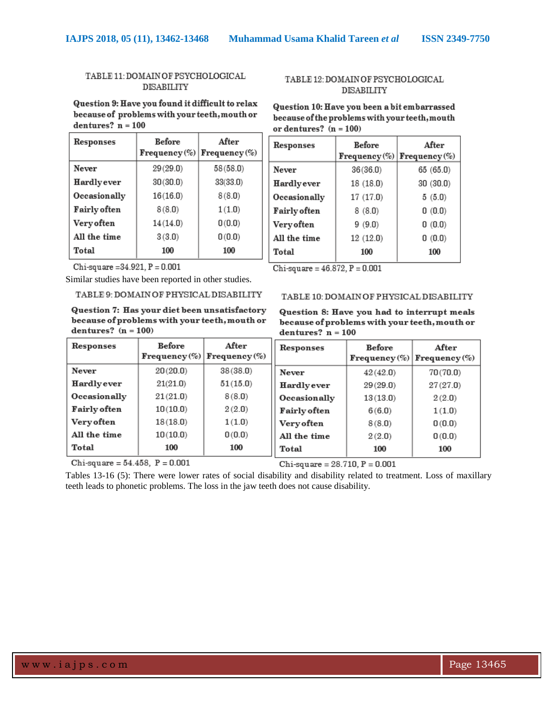## TABLE 11: DOMAIN OF PSYCHOLOGICAL **DISABILITY**

## TABLE 12: DOMAIN OF PSYCHOLOGICAL **DISABILITY**

Question 9: Have you found it difficult to relax because of problems with your teeth, mouth or dentures?  $n = 100$ 

| Responses           | <b>Before</b><br>Frequency $(\%)$ Frequency $(\%)$ | After    |
|---------------------|----------------------------------------------------|----------|
| Never               | 29(29.0)                                           | 58(58.0) |
| Hardlyever          | 30(30.0)                                           | 33(33.0) |
| Occasionally        | 16(16.0)                                           | 8(8.0)   |
| <b>Fairly often</b> | 8(8.0)                                             | 1(1.0)   |
| Very often          | 14(14.0)                                           | 0(0.0)   |
| All the time        | 3(3.0)                                             | 0(0.0)   |
| Total               | 100                                                | 100      |

## Question 10: Have you been a bit embarrassed because of the problems with your teeth, mouth or dentures?  $(n = 100)$

| Responses           | <b>Before</b><br>Frequency $(\%)$ Frequency $(\%)$ | After     |
|---------------------|----------------------------------------------------|-----------|
| Never               | 36(36.0)                                           | 65 (65.0) |
| Hardlyever          | 18 (18.0)                                          | 30(30.0)  |
| Occasionally        | 17(17.0)                                           | 5(5.0)    |
| <b>Fairly</b> often | 8(8.0)                                             | 0(0.0)    |
| Very often          | 9(9.0)                                             | 0(0.0)    |
| All the time        | 12(12.0)                                           | 0(0.0)    |
| Total               | 100                                                | 100       |
|                     |                                                    |           |

Chi-square =  $34.921$ ,  $P = 0.001$ 

Similar studies have been reported in other studies.

TABLE 9: DOMAIN OF PHYSICAL DISABILITY

Question 7: Has your diet been unsatisfactory because of problems with your teeth, mouth or dentures?  $(n = 100)$ 

| Responses           | <b>Before</b><br>$Frequency (\%)$ Frequency $(\%)$ | After    |
|---------------------|----------------------------------------------------|----------|
| Never               | 20(20.0)                                           | 38(38.0) |
| Hardlyever          | 21(21.0)                                           | 51(15.0) |
| Occasionally        | 21(21.0)                                           | 8(8.0)   |
| <b>Fairly often</b> | 10(10.0)                                           | 2(2.0)   |
| Very often          | 18(18.0)                                           | 1(1.0)   |
| All the time        | 10(10.0)                                           | 0(0.0)   |
| Total               | 100                                                | 100      |

Chi-square =  $54.458$ ,  $P = 0.001$ 

 $Chi-square = 46.872, P = 0.001$ 

## TABLE 10: DOMAIN OF PHYSICAL DISABILITY

Question 8: Have you had to interrupt meals because of problems with your teeth, mouth or dentures?  $n = 100$ 

| Responses    | <b>Before</b> | After<br>$Frequency (\%)$ Frequency $(\%)$ |
|--------------|---------------|--------------------------------------------|
| Never        | 42(42.0)      | 70(70.0)                                   |
| Hardlyever   | 29(29.0)      | 27(27.0)                                   |
| Occasionally | 13(13.0)      | 2(2.0)                                     |
| Fairly often | 6(6.0)        | 1(1.0)                                     |
| Very often   | 8(8.0)        | 0(0.0)                                     |
| All the time | 2(2.0)        | 0(0.0)                                     |
| Total        | 100           | 100                                        |

 $Chi$ -square = 28.710,  $P = 0.001$ 

Tables 13-16 (5): There were lower rates of social disability and disability related to treatment. Loss of maxillary teeth leads to phonetic problems. The loss in the jaw teeth does not cause disability.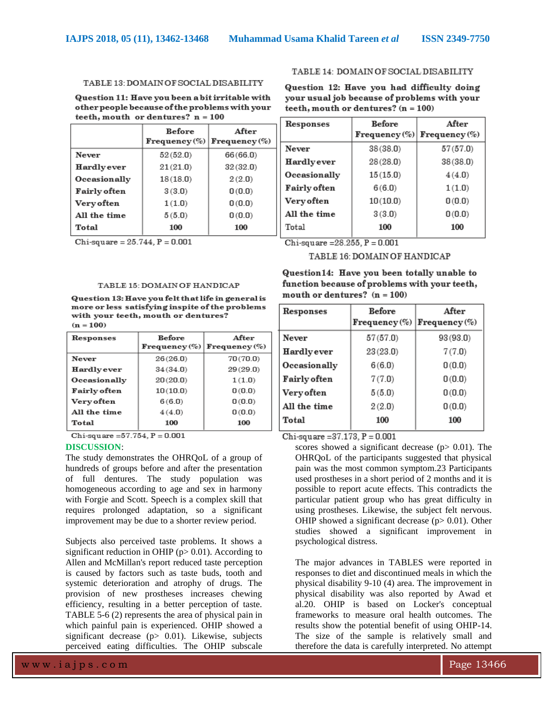#### TABLE 13: DOMAIN OF SOCIAL DISABILITY

Question 11: Have you been a bit irritable with other people because of the problems with your teeth, mouth or dentures?  $n = 100$ 

|                     | <b>Before</b><br>$Frequency (\%)$ | After<br>$Frequency (\%)$ |
|---------------------|-----------------------------------|---------------------------|
| Never               | 52(52.0)                          | 66(66.0)                  |
| Hardlyever          | 21(21.0)                          | 32(32.0)                  |
| Occasionally        | 18(18.0)                          | 2(2.0)                    |
| <b>Fairly often</b> | 3(3.0)                            | 0(0.0)                    |
| <b>Very often</b>   | 1(1.0)                            | 0(0.0)                    |
| All the time        | 5(5.0)                            | 0(0.0)                    |
| Total               | 100                               | 100                       |

Chi-square =  $25.744$ ,  $P = 0.001$ 

#### TABLE 14: DOMAIN OF SOCIAL DISABILITY

Question 12: Have you had difficulty doing your usual job because of problems with your teeth, mouth or dentures?  $(n = 100)$ 

| Responses           | <b>Before</b> | After                             |
|---------------------|---------------|-----------------------------------|
|                     |               | Frequency $(\%)$ Frequency $(\%)$ |
| Never               | 38(38.0)      | 57(57.0)                          |
| Hardlyever          | 28(28.0)      | 38(38.0)                          |
| Occasionally        | 15(15.0)      | 4(4.0)                            |
| <b>Fairly often</b> | 6(6.0)        | 1(1.0)                            |
| Very often          | 10(10.0)      | 0(0.0)                            |
| All the time        | 3(3.0)        | 0(0.0)                            |
| Total               | 100           | 100                               |

Chi-square =  $28.255$ ,  $P = 0.001$ 

## TABLE 16: DOMAIN OF HANDICAP Question14: Have you been totally unable to

function because of problems with your teeth.

#### TABLE 15: DOMAIN OF HANDICAP

Question 13: Have you felt that life in general is more or less satisfying inspite of the problems with your teeth, mouth or dentures?  $(n = 100)$ 

| Responses           | <b>Before</b><br>$Frequency (\%)$ Frequency $(\%)$ | After    |
|---------------------|----------------------------------------------------|----------|
| Never               | 26(26.0)                                           | 70(70.0) |
| Hardlyever          | 34(34.0)                                           | 29(29.0) |
| <b>Occasionally</b> | 20(20.0)                                           | 1(1.0)   |
| <b>Fairly</b> often | 10(10.0)                                           | 0(0.0)   |
| Very often          | 6(6.0)                                             | 0(0.0)   |
| All the time        | 4(4.0)                                             | 0(0.0)   |
| Total               | 100                                                | 100      |

Chi-square =  $57.754$ ,  $P = 0.001$ 

#### **DISCUSSION**:

The study demonstrates the OHRQoL of a group of hundreds of groups before and after the presentation of full dentures. The study population was homogeneous according to age and sex in harmony with Forgie and Scott. Speech is a complex skill that requires prolonged adaptation, so a significant improvement may be due to a shorter review period.

Subjects also perceived taste problems. It shows a significant reduction in OHIP ( $p > 0.01$ ). According to Allen and McMillan's report reduced taste perception is caused by factors such as taste buds, tooth and systemic deterioration and atrophy of drugs. The provision of new prostheses increases chewing efficiency, resulting in a better perception of taste. TABLE 5-6 (2) represents the area of physical pain in which painful pain is experienced. OHIP showed a significant decrease ( $p$ > 0.01). Likewise, subjects perceived eating difficulties. The OHIP subscale

mouth or dentures?  $(n = 100)$ Responses **Before** After  $Frequency (\%)$  Frequency (%) Never  $57(57.0)$  $93(93.0)$ Hardlyever  $23(23.0)$  $7(7.0)$ Occasionally  $6(6.0)$  $0(0.0)$ **Fairly** often  $7(7.0)$  $0(0.0)$ 

| Total        | 100    | 100    |
|--------------|--------|--------|
| All the time | 2(2.0) | 0(0.0) |
| Very often   | 5(5.0) | 0(0.0) |

Chi-square =  $37.173$ ,  $P = 0.001$ 

scores showed a significant decrease ( $p$  > 0.01). The OHRQoL of the participants suggested that physical pain was the most common symptom.23 Participants used prostheses in a short period of 2 months and it is possible to report acute effects. This contradicts the particular patient group who has great difficulty in using prostheses. Likewise, the subject felt nervous. OHIP showed a significant decrease ( $p$  > 0.01). Other studies showed a significant improvement in psychological distress.

The major advances in TABLES were reported in responses to diet and discontinued meals in which the physical disability 9-10 (4) area. The improvement in physical disability was also reported by Awad et al.20. OHIP is based on Locker's conceptual frameworks to measure oral health outcomes. The results show the potential benefit of using OHIP-14. The size of the sample is relatively small and therefore the data is carefully interpreted. No attempt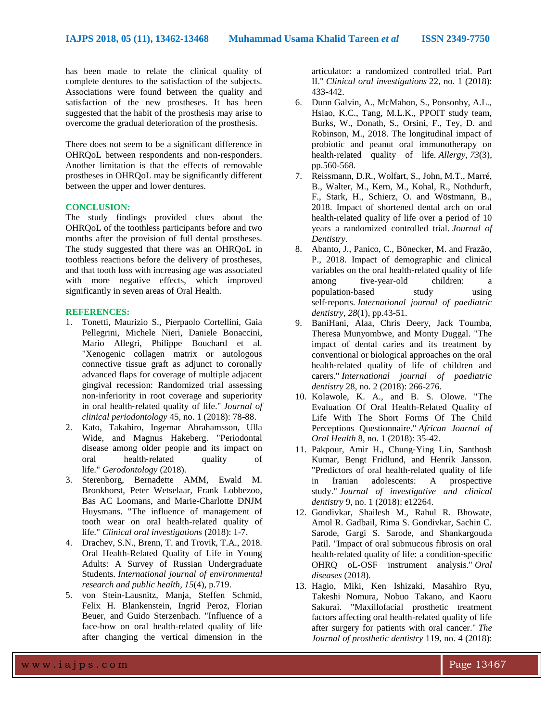has been made to relate the clinical quality of complete dentures to the satisfaction of the subjects. Associations were found between the quality and satisfaction of the new prostheses. It has been suggested that the habit of the prosthesis may arise to overcome the gradual deterioration of the prosthesis.

There does not seem to be a significant difference in OHRQoL between respondents and non-responders. Another limitation is that the effects of removable prostheses in OHRQoL may be significantly different between the upper and lower dentures.

## **CONCLUSION:**

The study findings provided clues about the OHRQoL of the toothless participants before and two months after the provision of full dental prostheses. The study suggested that there was an OHRQoL in toothless reactions before the delivery of prostheses, and that tooth loss with increasing age was associated with more negative effects, which improved significantly in seven areas of Oral Health.

#### **REFERENCES:**

- 1. Tonetti, Maurizio S., Pierpaolo Cortellini, Gaia Pellegrini, Michele Nieri, Daniele Bonaccini, Mario Allegri, Philippe Bouchard et al. "Xenogenic collagen matrix or autologous connective tissue graft as adjunct to coronally advanced flaps for coverage of multiple adjacent gingival recession: Randomized trial assessing non‐inferiority in root coverage and superiority in oral health‐related quality of life." *Journal of clinical periodontology* 45, no. 1 (2018): 78-88.
- 2. Kato, Takahiro, Ingemar Abrahamsson, Ulla Wide, and Magnus Hakeberg. "Periodontal disease among older people and its impact on oral health‐related quality of life." *Gerodontology* (2018).
- 3. Sterenborg, Bernadette AMM, Ewald M. Bronkhorst, Peter Wetselaar, Frank Lobbezoo, Bas AC Loomans, and Marie-Charlotte DNJM Huysmans. "The influence of management of tooth wear on oral health-related quality of life." *Clinical oral investigations* (2018): 1-7.
- 4. Drachev, S.N., Brenn, T. and Trovik, T.A., 2018. Oral Health-Related Quality of Life in Young Adults: A Survey of Russian Undergraduate Students. *International journal of environmental research and public health*, *15*(4), p.719.
- 5. von Stein-Lausnitz, Manja, Steffen Schmid, Felix H. Blankenstein, Ingrid Peroz, Florian Beuer, and Guido Sterzenbach. "Influence of a face-bow on oral health-related quality of life after changing the vertical dimension in the

articulator: a randomized controlled trial. Part II." *Clinical oral investigations* 22, no. 1 (2018): 433-442.

- 6. Dunn Galvin, A., McMahon, S., Ponsonby, A.L., Hsiao, K.C., Tang, M.L.K., PPOIT study team, Burks, W., Donath, S., Orsini, F., Tey, D. and Robinson, M., 2018. The longitudinal impact of probiotic and peanut oral immunotherapy on health‐related quality of life. *Allergy*, *73*(3), pp.560-568.
- 7. Reissmann, D.R., Wolfart, S., John, M.T., Marré, B., Walter, M., Kern, M., Kohal, R., Nothdurft, F., Stark, H., Schierz, O. and Wöstmann, B., 2018. Impact of shortened dental arch on oral health-related quality of life over a period of 10 years–a randomized controlled trial. *Journal of Dentistry*.
- 8. Abanto, J., Panico, C., Bönecker, M. and Frazão, P., 2018. Impact of demographic and clinical variables on the oral health-related quality of life<br>among five-year-old children: a among five-year-old children: a population-based study using self‐reports. *International journal of paediatric dentistry*, *28*(1), pp.43-51.
- 9. BaniHani, Alaa, Chris Deery, Jack Toumba, Theresa Munyombwe, and Monty Duggal. "The impact of dental caries and its treatment by conventional or biological approaches on the oral health‐related quality of life of children and carers." *International journal of paediatric dentistry* 28, no. 2 (2018): 266-276.
- 10. Kolawole, K. A., and B. S. Olowe. "The Evaluation Of Oral Health-Related Quality of Life With The Short Forms Of The Child Perceptions Questionnaire." *African Journal of Oral Health* 8, no. 1 (2018): 35-42.
- 11. Pakpour, Amir H., Chung‐Ying Lin, Santhosh Kumar, Bengt Fridlund, and Henrik Jansson. "Predictors of oral health‐related quality of life in Iranian adolescents: A prospective study." *Journal of investigative and clinical dentistry* 9, no. 1 (2018): e12264.
- 12. Gondivkar, Shailesh M., Rahul R. Bhowate, Amol R. Gadbail, Rima S. Gondivkar, Sachin C. Sarode, Gargi S. Sarode, and Shankargouda Patil. "Impact of oral submucous fibrosis on oral health-related quality of life: a condition-specific OHRQ oL‐OSF instrument analysis." *Oral diseases* (2018).
- 13. Hagio, Miki, Ken Ishizaki, Masahiro Ryu, Takeshi Nomura, Nobuo Takano, and Kaoru Sakurai. "Maxillofacial prosthetic treatment factors affecting oral health-related quality of life after surgery for patients with oral cancer." *The Journal of prosthetic dentistry* 119, no. 4 (2018):